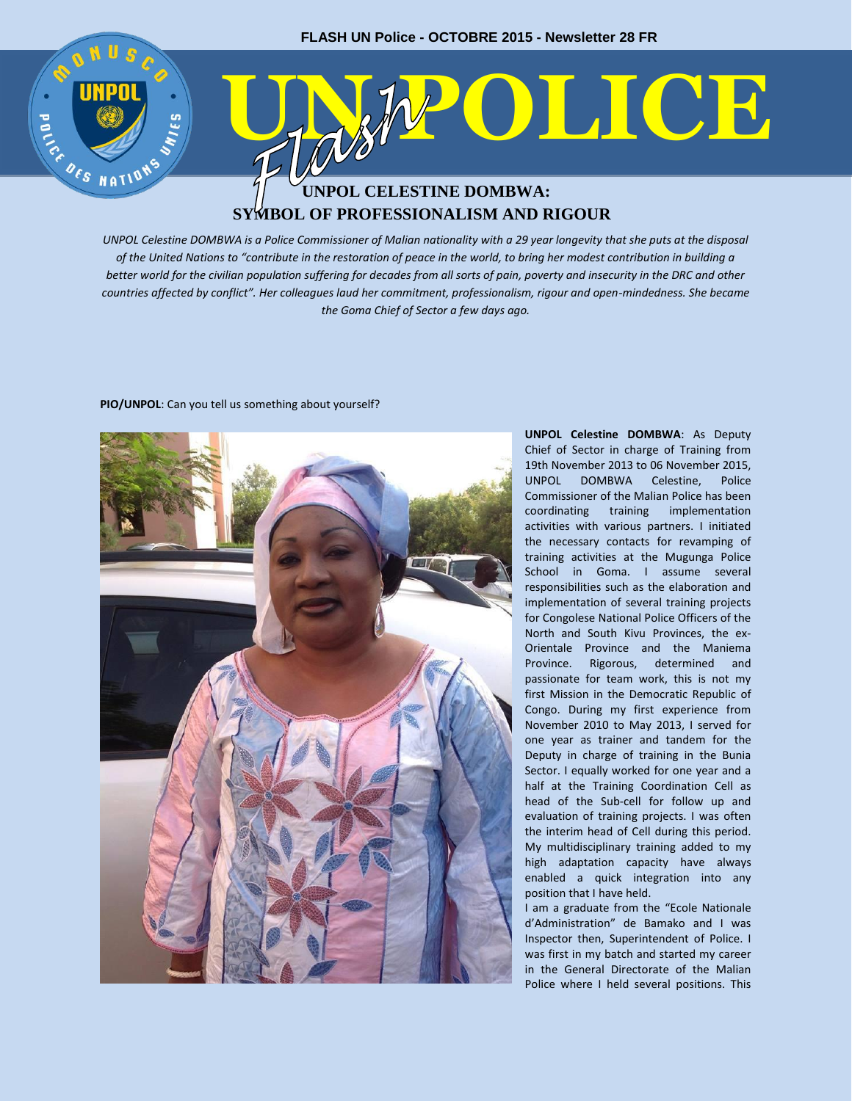

# **SYMBOL OF PROFESSIONALISM AND RIGOUR**

*UNPOL Celestine DOMBWA is a Police Commissioner of Malian nationality with a 29 year longevity that she puts at the disposal of the United Nations to "contribute in the restoration of peace in the world, to bring her modest contribution in building a better world for the civilian population suffering for decades from all sorts of pain, poverty and insecurity in the DRC and other countries affected by conflict". Her colleagues laud her commitment, professionalism, rigour and open-mindedness. She became the Goma Chief of Sector a few days ago.*

### **PIO/UNPOL**: Can you tell us something about yourself?

**UNPOL Celestine DOMBWA**: As Deputy Chief of Sector in charge of Training from 19th November 2013 to 06 November 2015, UNPOL DOMBWA Celestine, Police Commissioner of the Malian Police has been coordinating training implementation activities with various partners. I initiated the necessary contacts for revamping of training activities at the Mugunga Police School in Goma. I assume several responsibilities such as the elaboration and implementation of several training projects for Congolese National Police Officers of the North and South Kivu Provinces, the ex-Orientale Province and the Maniema Province. Rigorous, determined and passionate for team work, this is not my first Mission in the Democratic Republic of Congo. During my first experience from November 2010 to May 2013, I served for one year as trainer and tandem for the Deputy in charge of training in the Bunia Sector. I equally worked for one year and a half at the Training Coordination Cell as head of the Sub-cell for follow up and evaluation of training projects. I was often the interim head of Cell during this period. My multidisciplinary training added to my high adaptation capacity have always enabled a quick integration into any position that I have held.

I am a graduate from the "Ecole Nationale d'Administration" de Bamako and I was Inspector then, Superintendent of Police. I was first in my batch and started my career in the General Directorate of the Malian Police where I held several positions. This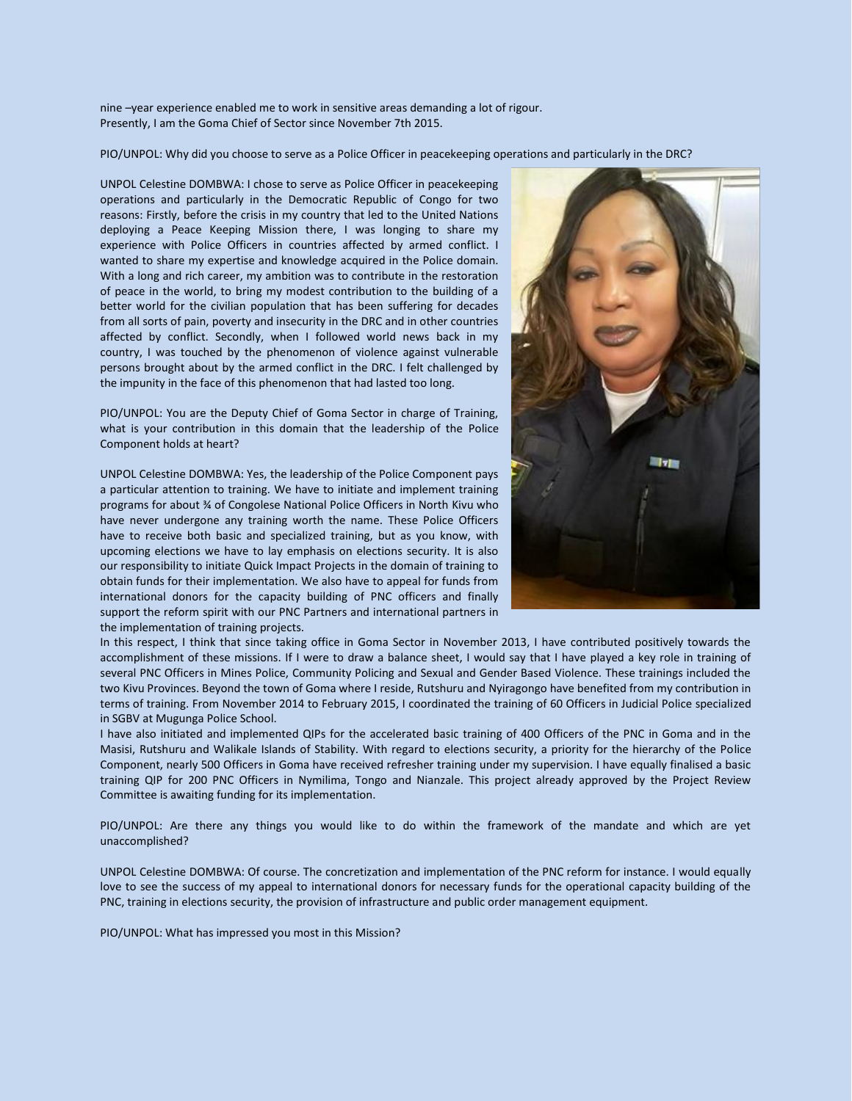nine –year experience enabled me to work in sensitive areas demanding a lot of rigour. Presently, I am the Goma Chief of Sector since November 7th 2015.

PIO/UNPOL: Why did you choose to serve as a Police Officer in peacekeeping operations and particularly in the DRC?

UNPOL Celestine DOMBWA: I chose to serve as Police Officer in peacekeeping operations and particularly in the Democratic Republic of Congo for two reasons: Firstly, before the crisis in my country that led to the United Nations deploying a Peace Keeping Mission there, I was longing to share my experience with Police Officers in countries affected by armed conflict. I wanted to share my expertise and knowledge acquired in the Police domain. With a long and rich career, my ambition was to contribute in the restoration of peace in the world, to bring my modest contribution to the building of a better world for the civilian population that has been suffering for decades from all sorts of pain, poverty and insecurity in the DRC and in other countries affected by conflict. Secondly, when I followed world news back in my country, I was touched by the phenomenon of violence against vulnerable persons brought about by the armed conflict in the DRC. I felt challenged by the impunity in the face of this phenomenon that had lasted too long.

PIO/UNPOL: You are the Deputy Chief of Goma Sector in charge of Training, what is your contribution in this domain that the leadership of the Police Component holds at heart?

UNPOL Celestine DOMBWA: Yes, the leadership of the Police Component pays a particular attention to training. We have to initiate and implement training programs for about ¾ of Congolese National Police Officers in North Kivu who have never undergone any training worth the name. These Police Officers have to receive both basic and specialized training, but as you know, with upcoming elections we have to lay emphasis on elections security. It is also our responsibility to initiate Quick Impact Projects in the domain of training to obtain funds for their implementation. We also have to appeal for funds from international donors for the capacity building of PNC officers and finally support the reform spirit with our PNC Partners and international partners in the implementation of training projects.



In this respect, I think that since taking office in Goma Sector in November 2013, I have contributed positively towards the accomplishment of these missions. If I were to draw a balance sheet, I would say that I have played a key role in training of several PNC Officers in Mines Police, Community Policing and Sexual and Gender Based Violence. These trainings included the two Kivu Provinces. Beyond the town of Goma where I reside, Rutshuru and Nyiragongo have benefited from my contribution in terms of training. From November 2014 to February 2015, I coordinated the training of 60 Officers in Judicial Police specialized in SGBV at Mugunga Police School.

I have also initiated and implemented QIPs for the accelerated basic training of 400 Officers of the PNC in Goma and in the Masisi, Rutshuru and Walikale Islands of Stability. With regard to elections security, a priority for the hierarchy of the Police Component, nearly 500 Officers in Goma have received refresher training under my supervision. I have equally finalised a basic training QIP for 200 PNC Officers in Nymilima, Tongo and Nianzale. This project already approved by the Project Review Committee is awaiting funding for its implementation.

PIO/UNPOL: Are there any things you would like to do within the framework of the mandate and which are yet unaccomplished?

UNPOL Celestine DOMBWA: Of course. The concretization and implementation of the PNC reform for instance. I would equally love to see the success of my appeal to international donors for necessary funds for the operational capacity building of the PNC, training in elections security, the provision of infrastructure and public order management equipment.

PIO/UNPOL: What has impressed you most in this Mission?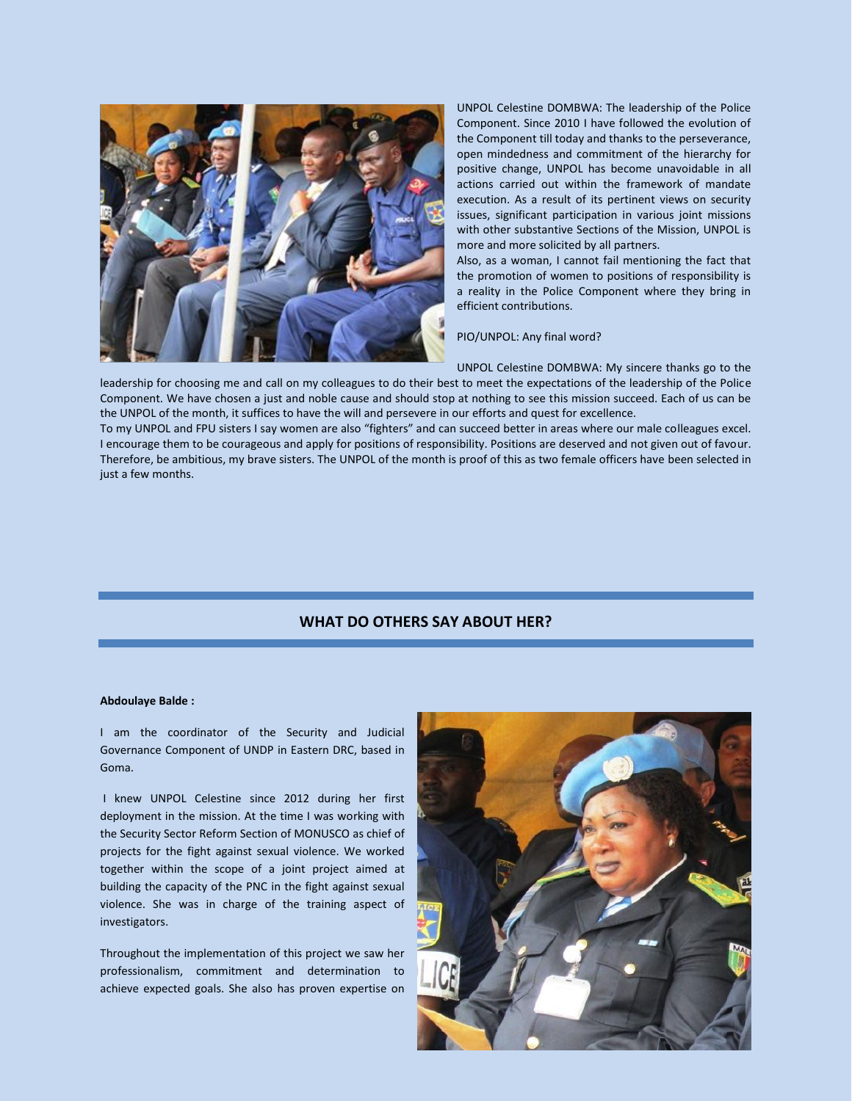

UNPOL Celestine DOMBWA: The leadership of the Police Component. Since 2010 I have followed the evolution of the Component till today and thanks to the perseverance, open mindedness and commitment of the hierarchy for positive change, UNPOL has become unavoidable in all actions carried out within the framework of mandate execution. As a result of its pertinent views on security issues, significant participation in various joint missions with other substantive Sections of the Mission, UNPOL is more and more solicited by all partners.

Also, as a woman, I cannot fail mentioning the fact that the promotion of women to positions of responsibility is a reality in the Police Component where they bring in efficient contributions.

PIO/UNPOL: Any final word?

UNPOL Celestine DOMBWA: My sincere thanks go to the

leadership for choosing me and call on my colleagues to do their best to meet the expectations of the leadership of the Police Component. We have chosen a just and noble cause and should stop at nothing to see this mission succeed. Each of us can be the UNPOL of the month, it suffices to have the will and persevere in our efforts and quest for excellence.

To my UNPOL and FPU sisters I say women are also "fighters" and can succeed better in areas where our male colleagues excel. I encourage them to be courageous and apply for positions of responsibility. Positions are deserved and not given out of favour. Therefore, be ambitious, my brave sisters. The UNPOL of the month is proof of this as two female officers have been selected in just a few months.

## **WHAT DO OTHERS SAY ABOUT HER?**

#### **Abdoulaye Balde :**

I am the coordinator of the Security and Judicial Governance Component of UNDP in Eastern DRC, based in Goma.

I knew UNPOL Celestine since 2012 during her first deployment in the mission. At the time I was working with the Security Sector Reform Section of MONUSCO as chief of projects for the fight against sexual violence. We worked together within the scope of a joint project aimed at building the capacity of the PNC in the fight against sexual violence. She was in charge of the training aspect of investigators.

Throughout the implementation of this project we saw her professionalism, commitment and determination to achieve expected goals. She also has proven expertise on

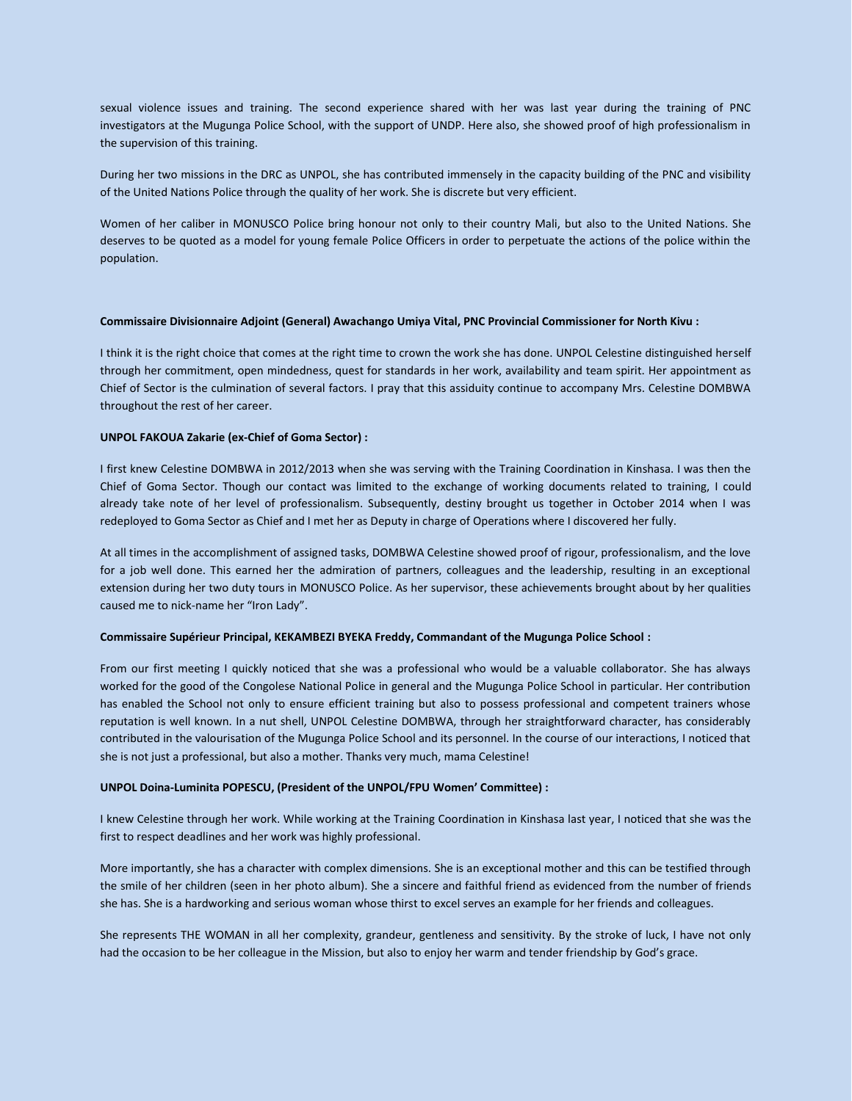sexual violence issues and training. The second experience shared with her was last year during the training of PNC investigators at the Mugunga Police School, with the support of UNDP. Here also, she showed proof of high professionalism in the supervision of this training.

During her two missions in the DRC as UNPOL, she has contributed immensely in the capacity building of the PNC and visibility of the United Nations Police through the quality of her work. She is discrete but very efficient.

Women of her caliber in MONUSCO Police bring honour not only to their country Mali, but also to the United Nations. She deserves to be quoted as a model for young female Police Officers in order to perpetuate the actions of the police within the population.

#### **Commissaire Divisionnaire Adjoint (General) Awachango Umiya Vital, PNC Provincial Commissioner for North Kivu :**

I think it is the right choice that comes at the right time to crown the work she has done. UNPOL Celestine distinguished herself through her commitment, open mindedness, quest for standards in her work, availability and team spirit. Her appointment as Chief of Sector is the culmination of several factors. I pray that this assiduity continue to accompany Mrs. Celestine DOMBWA throughout the rest of her career.

#### **UNPOL FAKOUA Zakarie (ex-Chief of Goma Sector) :**

I first knew Celestine DOMBWA in 2012/2013 when she was serving with the Training Coordination in Kinshasa. I was then the Chief of Goma Sector. Though our contact was limited to the exchange of working documents related to training, I could already take note of her level of professionalism. Subsequently, destiny brought us together in October 2014 when I was redeployed to Goma Sector as Chief and I met her as Deputy in charge of Operations where I discovered her fully.

At all times in the accomplishment of assigned tasks, DOMBWA Celestine showed proof of rigour, professionalism, and the love for a job well done. This earned her the admiration of partners, colleagues and the leadership, resulting in an exceptional extension during her two duty tours in MONUSCO Police. As her supervisor, these achievements brought about by her qualities caused me to nick-name her "Iron Lady".

#### **Commissaire Supérieur Principal, KEKAMBEZI BYEKA Freddy, Commandant of the Mugunga Police School :**

From our first meeting I quickly noticed that she was a professional who would be a valuable collaborator. She has always worked for the good of the Congolese National Police in general and the Mugunga Police School in particular. Her contribution has enabled the School not only to ensure efficient training but also to possess professional and competent trainers whose reputation is well known. In a nut shell, UNPOL Celestine DOMBWA, through her straightforward character, has considerably contributed in the valourisation of the Mugunga Police School and its personnel. In the course of our interactions, I noticed that she is not just a professional, but also a mother. Thanks very much, mama Celestine!

#### **UNPOL Doina-Luminita POPESCU, (President of the UNPOL/FPU Women' Committee) :**

I knew Celestine through her work. While working at the Training Coordination in Kinshasa last year, I noticed that she was the first to respect deadlines and her work was highly professional.

More importantly, she has a character with complex dimensions. She is an exceptional mother and this can be testified through the smile of her children (seen in her photo album). She a sincere and faithful friend as evidenced from the number of friends she has. She is a hardworking and serious woman whose thirst to excel serves an example for her friends and colleagues.

She represents THE WOMAN in all her complexity, grandeur, gentleness and sensitivity. By the stroke of luck, I have not only had the occasion to be her colleague in the Mission, but also to enjoy her warm and tender friendship by God's grace.